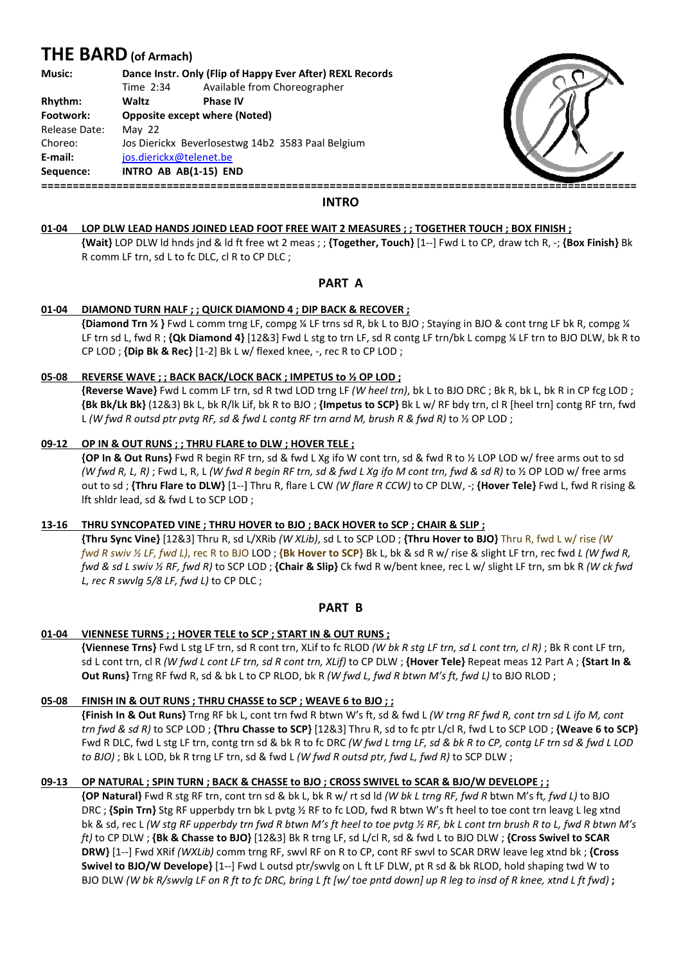# **THE BARD (of Armach)**

| <b>Music:</b> | Dance Instr. Only (Flip of Happy Ever After) REXL Records |                              |
|---------------|-----------------------------------------------------------|------------------------------|
|               | Time 2:34                                                 | Available from Choreographer |
| Rhythm:       | Waltz                                                     | <b>Phase IV</b>              |
| Footwork:     | <b>Opposite except where (Noted)</b>                      |                              |
| Release Date: | May $22$                                                  |                              |
| Choreo:       | Jos Dierickx Beverlosestwg 14b2 3583 Paal Belgium         |                              |
| E-mail:       | jos.dierickx@telenet.be                                   |                              |
| Sequence:     | INTRO AB AB(1-15) END                                     |                              |
|               |                                                           |                              |



## **INTRO**

#### **01-04 LOP DLW LEAD HANDS JOINED LEAD FOOT FREE FREE WAIT 2 MEASURES ; ; TOGETHER TOUCH TOUCH ; BOX FINISH ;**

 **{Wait}** LOP DLW ld hnds jnd & ld ft free wt 2 meas ; ; **{Together, Touch}** [1--] Fwd L to CP, ] draw tch R, -; **{Box Finish}** Bk R comm LF trn, sd L to fc DLC, cl R to CP DLC ;

## **PART A**

#### **01-04 DIAMOND TURN HALF ; ; QUICK DIAMOND 4 ; DIP BACK & RECOVER ;**

**{Diamond Trn ½ }** Fwd L comm trng LF, compg ¼ LF trns sd R, bk L to BJO ; Staying in BJO & cont trng LF bk R, compg ¼ LF trn sd L, fwd R ; **{Qk Diamond 4}** [12&3] Fwd L stg to trn LF, sd R contg LF trn/bk L compg ¼ LF trn to BJO DLW, bk R to CP LOD ; **{Dip Bk & Rec}** [1-2] Bk L w/ flexed knee, -, rec R to CP LOD ;

#### **05-08 REVERSE WAVE ; ; BACK BACK/LOCK BACK ; IMPETUS to to ½ OP LOD ;**

**{Reverse Wave}** Fwd L comm LF trn, sd R twd LOD trng LF *(W heel trn)*, bk L to BJO DRC ; Bk R, bk L, bk R in CP fcg LOD ;  **{Bk Bk/Lk Bk}** (12&3) Bk L, bk R/lk Lif, bk R to BJO ; **{Impetus to SCP}** Bk L w/ RF bdy trn, cl R [heel trn] contg RF trn, fwd L *(W fwd R outsd ptr pvtg RF, sd & fwd L contg RF trn arnd M, brush R & fwd R)* to ½ OP LOD ;

#### **09-12 OP IN & OUT RUNS ; ; THRU FLARE to DLW DLW ; HOVER TELE ;**

**{OP In & Out Runs}** Fwd R begin RF trn, sd & fwd L Xg ifo W cont trn, sd & fwd R to ½ LOP LOD w/ free arms out to sd *(W fwd R, L, R)* ; Fwd L, R, L *(W fwd R begin RF trn, sd & fwd L Xg ifo M cont trn, fwd & sd R)* to ½ OP LOD w/ free arms out to sd ; **{Thru Flare to DLW}** [1--] Thru R, flare L CW *(W flare R CCW)* to CP DLW, -; **{Hover Tele}** Fwd L, fwd R rising & lft shldr lead, sd & fwd L to SCP LOD ;

## **13-16 THRU SYNCOPATED VINE ; THRU HOVER to BJO ; BACK HOVER to SCP ; CHAIR & SLIP ;**

**{Thru Sync Vine}** [12&3] Thru R, sd L/XRib *(W XLib)*, sd L to SCP LOD ; **{Thru Hover to BJO}** Thru R, fwd L w/ rise *(W fwd R swiv ½ LF, fwd L)*, rec R to BJO BJO LOD ; **{Bk Hover to SCP}** Bk L, bk & sd R w/ rise & slight LF trn, rec fwd *L (W fwd R, fwd & sd L swiv ½ RF, fwd R)* to SCP LOD ; **{Chair & Slip}** Ck fwd R w/bent knee, rec L w/ slight LF trn, sm bk R *(W ck fwd L, rec R swvlg 5/8 LF, fwd L)* to CP DLC ;

## **PART B**

#### **01-04 VIENNESE TURNS ; ; HOVER TELE to SCP SCP ; START IN & OUT RUNS ;**

**{Viennese Trns}** Fwd L stg LF trn, sd R cont trn, XLif to fc RLOD *(W bk R stg LF trn, sd L cont trn, cl R)* ; Bk R cont LF trn, sd L cont trn, cl R *(W fwd L cont LF trn trn, sd R cont trn, XLif)* to CP DLW ; **{Hover Tele}** Repeat meas 12 Part A A ; **{Start In & Out Runs}** Trng RF fwd R, sd & bk L to CP RLOD, bk R *(W fwd L, fwd R btwn M's ft, fwd L)* to BJO RLOD ;

## **05-08 FINISH IN & OUT RUNS ; THRU CHASSE to SCP ; WEAVE 6 to BJO ; ;**

**{Finish In & Out Runs}** Trng RF bk L, cont trn fwd R btwn W's ft, sd & fwd L *(W trng RF fwd R, cont trn sd L ifo M, cont trn fwd & sd R)* to SCP LOD ; **{Thru Chasse to SCP}** [12&3] Thru R, sd to fc ptr L/cl R, fwd L to SCP LOD ; **{Weave 6 to SCP}** Fwd R DLC, fwd L stg LF trn, contg trn sd & bk R to fc DRC *(W fwd L trng LF, sd & bk R to CP, contg LF trn sd & fwd L LOD to BJO)* ; Bk L LOD, bk R trng LF trn, sd & fwd L *(W fwd R outsd ptr, fwd L, fwd R)* to SCP DLW ;

## **09-13 OP NATURAL ; SPIN TURN ; BACK & CHASSE to BJO BJO ; CROSS SWIVEL to SCAR & BJO/W DEVELOPE ; ;**

**{OP Natural}** Fwd R stg RF trn, cont trn sd & bk L, bk R w/ rt sd ld *(W bk L trng RF, fwd R* btwn M's ft*, fwd L)* to BJO DRC ; **{Spin Trn}** Stg RF upperbdy trn bk L pvtg ½ RF to fc LOD, fwd R btwn W's ft heel to toe cont trn leavg L leg xtnd bk & sd, rec L *(W stg RF upperbdy trn fwd R btwn M's ft heel to toe pvtg ½ RF, bk L cont trn brush R to L, fwd R btwn M's ft)* to CP DLW ; **{Bk & Chasse to BJO}** [12&3] Bk R trng LF, sd L/cl R, sd & fwd L to BJO DLW ; **{Cross Swivel to SCAR DRW}** [1--] Fwd XRif *(WXLib)* comm trng RF, swvl RF on R to CP, cont RF swvl to SCAR DRW leave leg xtnd bk ; **{Cross**  Swivel to BJO/W Develope} [1--] Fwd L outsd ptr/swvlg on L ft LF DLW, pt R sd & bk RLOD, hold shaping twd W to BJO DLW *(W bk R/swvlg LF on R ft to to fc DRC, bring L ft [w/ toe pntd down] up R leg to insd of R kne knee, xtnd L ft fwd)* **;**